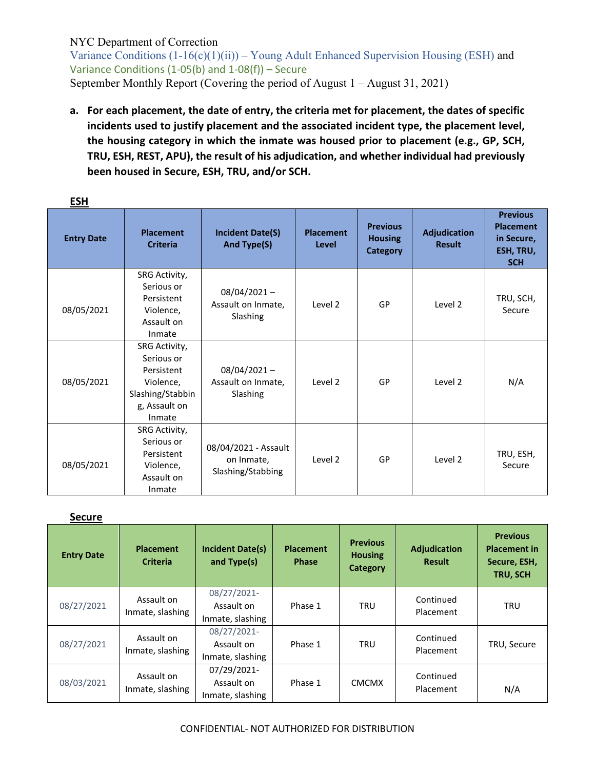Variance Conditions  $(1-16(c)(1)(ii))$  – Young Adult Enhanced Supervision Housing (ESH) and Variance Conditions (1-05(b) and 1-08(f)) – Secure September Monthly Report (Covering the period of August 1 – August 31, 2021)

**a. For each placement, the date of entry, the criteria met for placement, the dates of specific incidents used to justify placement and the associated incident type, the placement level, the housing category in which the inmate was housed prior to placement (e.g., GP, SCH, TRU, ESH, REST, APU), the result of his adjudication, and whether individual had previously been housed in Secure, ESH, TRU, and/or SCH.**

| <u>___</u><br><b>Entry Date</b> | <b>Placement</b><br><b>Criteria</b>                                                                   | <b>Incident Date(S)</b><br>And Type(S)                  | <b>Placement</b><br>Level | <b>Previous</b><br><b>Housing</b><br><b>Category</b> | <b>Adjudication</b><br><b>Result</b> | <b>Previous</b><br><b>Placement</b><br>in Secure,<br>ESH, TRU,<br><b>SCH</b> |
|---------------------------------|-------------------------------------------------------------------------------------------------------|---------------------------------------------------------|---------------------------|------------------------------------------------------|--------------------------------------|------------------------------------------------------------------------------|
| 08/05/2021                      | SRG Activity,<br>Serious or<br>Persistent<br>Violence,<br>Assault on<br>Inmate                        | $08/04/2021 -$<br>Assault on Inmate,<br>Slashing        | Level 2                   | GP                                                   | Level 2                              | TRU, SCH,<br>Secure                                                          |
| 08/05/2021                      | SRG Activity,<br>Serious or<br>Persistent<br>Violence,<br>Slashing/Stabbin<br>g, Assault on<br>Inmate | $08/04/2021 -$<br>Assault on Inmate,<br>Slashing        | Level 2                   | GP                                                   | Level 2                              | N/A                                                                          |
| 08/05/2021                      | SRG Activity,<br>Serious or<br>Persistent<br>Violence,<br>Assault on<br>Inmate                        | 08/04/2021 - Assault<br>on Inmate,<br>Slashing/Stabbing | Level 2                   | GP                                                   | Level 2                              | TRU, ESH,<br>Secure                                                          |

#### **ESH**

#### **Secure**

| <b>Entry Date</b> | <b>Placement</b><br><b>Criteria</b> | <b>Incident Date(s)</b><br>and Type(s)        | <b>Placement</b><br><b>Phase</b> | <b>Previous</b><br><b>Housing</b><br><b>Category</b> | <b>Adjudication</b><br><b>Result</b> | <b>Previous</b><br><b>Placement in</b><br>Secure, ESH,<br>TRU, SCH |
|-------------------|-------------------------------------|-----------------------------------------------|----------------------------------|------------------------------------------------------|--------------------------------------|--------------------------------------------------------------------|
| 08/27/2021        | Assault on<br>Inmate, slashing      | 08/27/2021-<br>Assault on<br>Inmate, slashing | Phase 1                          | <b>TRU</b>                                           | Continued<br>Placement               | <b>TRU</b>                                                         |
| 08/27/2021        | Assault on<br>Inmate, slashing      | 08/27/2021-<br>Assault on<br>Inmate, slashing | Phase 1                          | <b>TRU</b>                                           | Continued<br>Placement               | TRU, Secure                                                        |
| 08/03/2021        | Assault on<br>Inmate, slashing      | 07/29/2021-<br>Assault on<br>Inmate, slashing | Phase 1                          | <b>CMCMX</b>                                         | Continued<br>Placement               | N/A                                                                |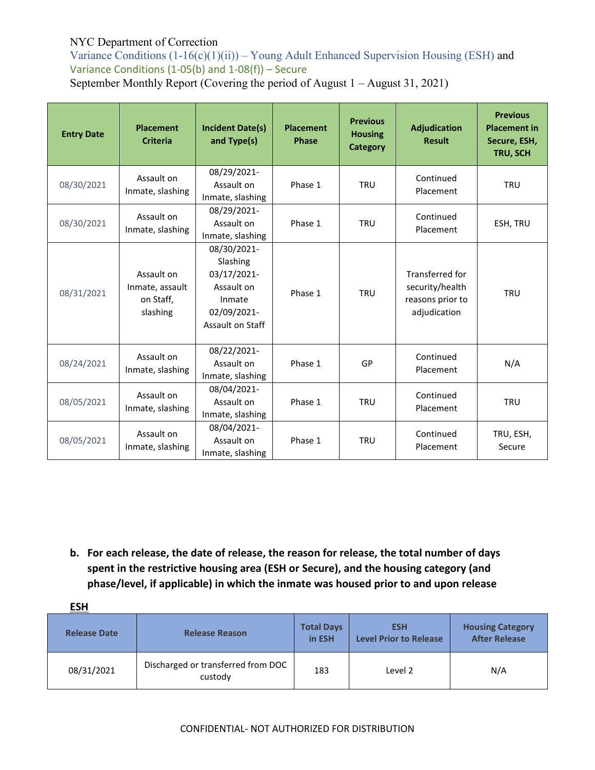Variance Conditions  $(1-16(c)(1)(ii))$  – Young Adult Enhanced Supervision Housing (ESH) and Variance Conditions (1-05(b) and 1-08(f)) – Secure September Monthly Report (Covering the period of August 1 – August 31, 2021)

| <b>Entry Date</b> | <b>Placement</b><br><b>Criteria</b>                    | <b>Incident Date(s)</b><br>and Type(s)                                                            | <b>Placement</b><br><b>Phase</b> | <b>Previous</b><br><b>Housing</b><br><b>Category</b> | <b>Adjudication</b><br><b>Result</b>                                          | <b>Previous</b><br><b>Placement in</b><br>Secure, ESH,<br>TRU, SCH |
|-------------------|--------------------------------------------------------|---------------------------------------------------------------------------------------------------|----------------------------------|------------------------------------------------------|-------------------------------------------------------------------------------|--------------------------------------------------------------------|
| 08/30/2021        | Assault on<br>Inmate, slashing                         | 08/29/2021-<br>Assault on<br>Inmate, slashing                                                     | Phase 1                          | <b>TRU</b>                                           | Continued<br>Placement                                                        | <b>TRU</b>                                                         |
| 08/30/2021        | Assault on<br>Inmate, slashing                         | 08/29/2021-<br>Assault on<br>Inmate, slashing                                                     | Phase 1                          | <b>TRU</b>                                           | Continued<br>Placement                                                        | ESH, TRU                                                           |
| 08/31/2021        | Assault on<br>Inmate, assault<br>on Staff,<br>slashing | 08/30/2021-<br>Slashing<br>03/17/2021-<br>Assault on<br>Inmate<br>02/09/2021-<br>Assault on Staff | Phase 1                          | <b>TRU</b>                                           | <b>Transferred for</b><br>security/health<br>reasons prior to<br>adjudication | <b>TRU</b>                                                         |
| 08/24/2021        | Assault on<br>Inmate, slashing                         | 08/22/2021-<br>Assault on<br>Inmate, slashing                                                     | Phase 1                          | GP                                                   | Continued<br>Placement                                                        | N/A                                                                |
| 08/05/2021        | Assault on<br>Inmate, slashing                         | 08/04/2021-<br>Assault on<br>Inmate, slashing                                                     | Phase 1                          | <b>TRU</b>                                           | Continued<br>Placement                                                        | <b>TRU</b>                                                         |
| 08/05/2021        | Assault on<br>Inmate, slashing                         | 08/04/2021-<br>Assault on<br>Inmate, slashing                                                     | Phase 1                          | <b>TRU</b>                                           | Continued<br>Placement                                                        | TRU, ESH,<br>Secure                                                |

**b. For each release, the date of release, the reason for release, the total number of days spent in the restrictive housing area (ESH or Secure), and the housing category (and phase/level, if applicable) in which the inmate was housed prior to and upon release**

| <b>ESH</b>          |                                               |                             |                                             |                                                 |
|---------------------|-----------------------------------------------|-----------------------------|---------------------------------------------|-------------------------------------------------|
| <b>Release Date</b> | <b>Release Reason</b>                         | <b>Total Days</b><br>in ESH | <b>ESH</b><br><b>Level Prior to Release</b> | <b>Housing Category</b><br><b>After Release</b> |
| 08/31/2021          | Discharged or transferred from DOC<br>custody | 183                         | Level 2                                     | N/A                                             |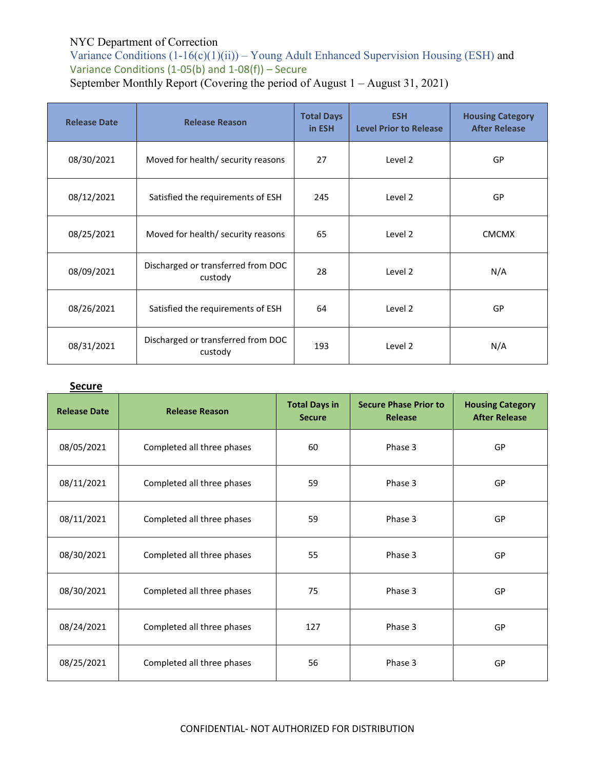Variance Conditions  $(1-16(c)(1)(ii))$  – Young Adult Enhanced Supervision Housing (ESH) and Variance Conditions (1-05(b) and 1-08(f)) – Secure September Monthly Report (Covering the period of August 1 – August 31, 2021)

| <b>Release Date</b> | <b>Release Reason</b>                         | <b>Total Days</b><br>in ESH | <b>ESH</b><br><b>Level Prior to Release</b> | <b>Housing Category</b><br><b>After Release</b> |
|---------------------|-----------------------------------------------|-----------------------------|---------------------------------------------|-------------------------------------------------|
| 08/30/2021          | Moved for health/ security reasons            | 27                          | Level 2                                     | GP                                              |
| 08/12/2021          | Satisfied the requirements of ESH             | 245                         | Level 2                                     | GP                                              |
| 08/25/2021          | Moved for health/ security reasons            | 65                          | Level 2                                     | <b>CMCMX</b>                                    |
| 08/09/2021          | Discharged or transferred from DOC<br>custody | 28                          | Level 2                                     | N/A                                             |
| 08/26/2021          | Satisfied the requirements of ESH             | 64                          | Level 2                                     | GP                                              |
| 08/31/2021          | Discharged or transferred from DOC<br>custody | 193                         | Level 2                                     | N/A                                             |

### **Secure**

| <b>Release Date</b> | <b>Release Reason</b>      | <b>Total Days in</b><br><b>Secure</b> | <b>Secure Phase Prior to</b><br>Release | <b>Housing Category</b><br><b>After Release</b> |
|---------------------|----------------------------|---------------------------------------|-----------------------------------------|-------------------------------------------------|
| 08/05/2021          | Completed all three phases | 60                                    | Phase 3                                 | GP                                              |
| 08/11/2021          | Completed all three phases | 59                                    | Phase 3                                 | GP                                              |
| 08/11/2021          | Completed all three phases | 59                                    | Phase 3                                 | GP                                              |
| 08/30/2021          | Completed all three phases | 55                                    | Phase 3                                 | GP                                              |
| 08/30/2021          | Completed all three phases | 75                                    | Phase 3                                 | GP                                              |
| 08/24/2021          | Completed all three phases | 127                                   | Phase 3                                 | GP                                              |
| 08/25/2021          | Completed all three phases | 56                                    | Phase 3                                 | GP                                              |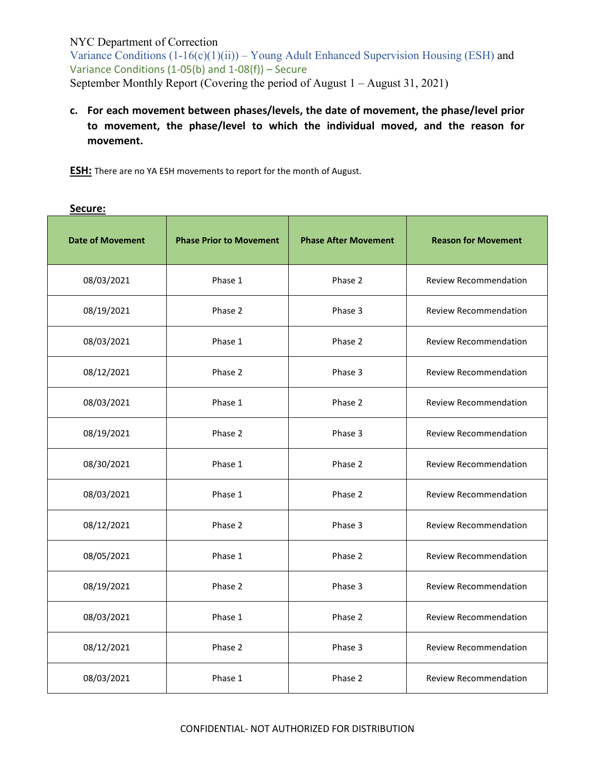Variance Conditions  $(1-16(c)(1)(ii))$  – Young Adult Enhanced Supervision Housing (ESH) and Variance Conditions (1-05(b) and 1-08(f)) – Secure September Monthly Report (Covering the period of August 1 – August 31, 2021)

**c. For each movement between phases/levels, the date of movement, the phase/level prior to movement, the phase/level to which the individual moved, and the reason for movement.**

**ESH:** There are no YA ESH movements to report for the month of August.

| <b>Date of Movement</b> | <b>Phase Prior to Movement</b> | <b>Phase After Movement</b> | <b>Reason for Movement</b>   |
|-------------------------|--------------------------------|-----------------------------|------------------------------|
| 08/03/2021              | Phase 1                        | Phase 2                     | <b>Review Recommendation</b> |
| 08/19/2021              | Phase 2                        | Phase 3                     | <b>Review Recommendation</b> |
| 08/03/2021              | Phase 1                        | Phase 2                     | <b>Review Recommendation</b> |
| 08/12/2021              | Phase 2                        | Phase 3                     | <b>Review Recommendation</b> |
| 08/03/2021              | Phase 1                        | Phase 2                     | <b>Review Recommendation</b> |
| 08/19/2021              | Phase 2                        | Phase 3                     | <b>Review Recommendation</b> |
| 08/30/2021              | Phase 1                        | Phase 2                     | <b>Review Recommendation</b> |
| 08/03/2021              | Phase 1                        | Phase 2                     | <b>Review Recommendation</b> |
| 08/12/2021              | Phase 2                        | Phase 3                     | <b>Review Recommendation</b> |
| 08/05/2021              | Phase 1                        | Phase 2                     | <b>Review Recommendation</b> |
| 08/19/2021              | Phase 2                        | Phase 3                     | <b>Review Recommendation</b> |
| 08/03/2021              | Phase 1                        | Phase 2                     | <b>Review Recommendation</b> |
| 08/12/2021              | Phase 2                        | Phase 3                     | Review Recommendation        |
| 08/03/2021              | Phase 1                        | Phase 2                     | <b>Review Recommendation</b> |

#### **Secure:**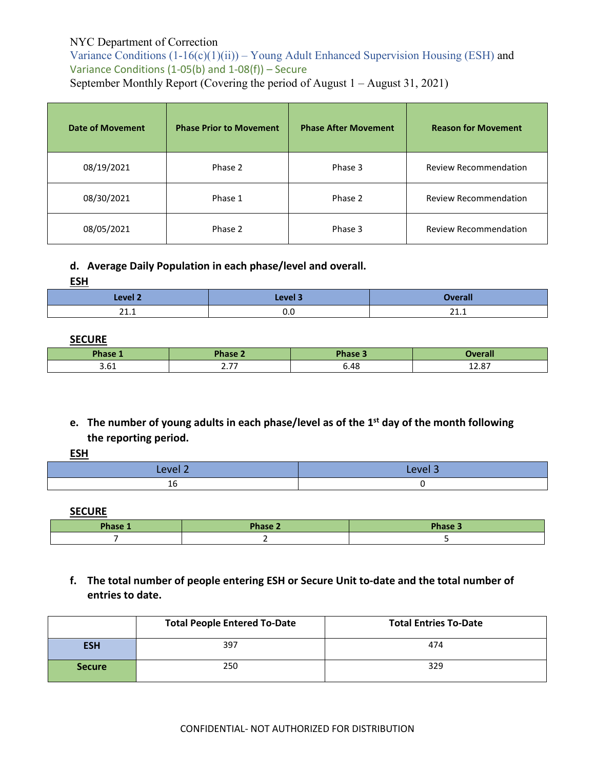Variance Conditions  $(1-16(c)(1)(ii))$  – Young Adult Enhanced Supervision Housing (ESH) and Variance Conditions (1-05(b) and 1-08(f)) – Secure September Monthly Report (Covering the period of August 1 – August 31, 2021)

| <b>Date of Movement</b> | <b>Phase Prior to Movement</b> | <b>Phase After Movement</b> | <b>Reason for Movement</b>   |
|-------------------------|--------------------------------|-----------------------------|------------------------------|
| 08/19/2021              | Phase 2                        | Phase 3                     | <b>Review Recommendation</b> |
| 08/30/2021              | Phase 1                        | Phase 2                     | <b>Review Recommendation</b> |
| 08/05/2021              | Phase 2                        | Phase 3                     | <b>Review Recommendation</b> |

#### **d. Average Daily Population in each phase/level and overall.**

**ESH** 

| angles of<br>$-$               | کامیرہ ہ<br>$- - - - - -$ |                   |
|--------------------------------|---------------------------|-------------------|
| $\mathbf{A}$<br><u>_ _ . _</u> | v.u                       | $\mathbf{A}$<br>. |

#### **SECURE**

| Phase 1 | $Phi$ chase $\angle$ | Phase 3 | <b>Tverall</b> |
|---------|----------------------|---------|----------------|
| ⊥∪.ب    | --<br>$\sim$         | 6.48    | 13.07<br>12.O  |

**e. The number of young adults in each phase/level as of the 1st day of the month following the reporting period.**

#### **ESH**

| امیہم<br>--<br>_____ | <b>STATE</b><br>. |
|----------------------|-------------------|
| Τp                   |                   |

**SECURE**

| Phase 1 | Phase 2 | Phase 3 |
|---------|---------|---------|
|         |         |         |

**f. The total number of people entering ESH or Secure Unit to-date and the total number of entries to date.** 

|               | <b>Total People Entered To-Date</b> | <b>Total Entries To-Date</b> |
|---------------|-------------------------------------|------------------------------|
| <b>ESH</b>    | 397                                 | 474                          |
| <b>Secure</b> | 250                                 | 329                          |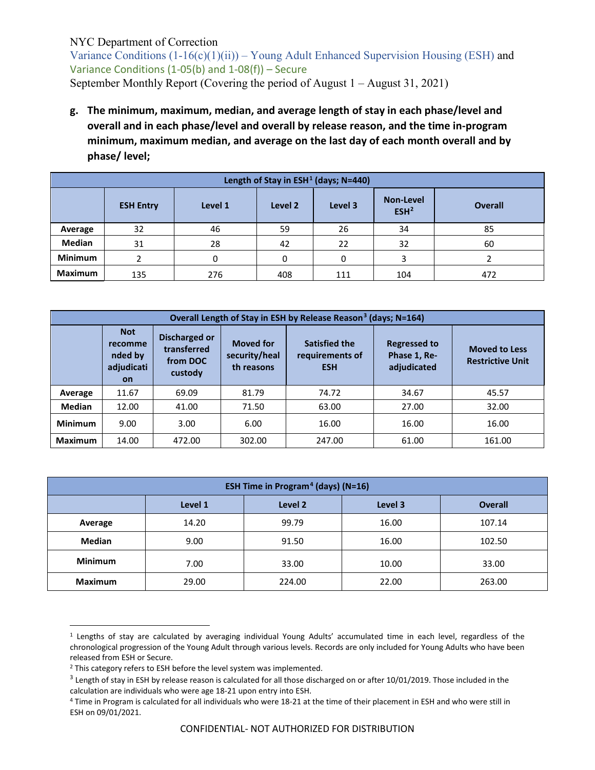Variance Conditions  $(1-16(c)(1)(ii))$  – Young Adult Enhanced Supervision Housing (ESH) and Variance Conditions (1-05(b) and 1-08(f)) – Secure September Monthly Report (Covering the period of August 1 – August 31, 2021)

**g. The minimum, maximum, median, and average length of stay in each phase/level and overall and in each phase/level and overall by release reason, and the time in-program minimum, maximum median, and average on the last day of each month overall and by phase/ level;**

|                | Length of Stay in ESH <sup>1</sup> (days; N=440)                                          |     |     |     |     |                |  |  |  |  |
|----------------|-------------------------------------------------------------------------------------------|-----|-----|-----|-----|----------------|--|--|--|--|
|                | <b>Non-Level</b><br>Level 3<br>Level 1<br><b>ESH Entry</b><br>Level 2<br>ESH <sup>2</sup> |     |     |     |     | <b>Overall</b> |  |  |  |  |
| Average        | 32                                                                                        | 46  | 59  | 26  | 34  | 85             |  |  |  |  |
| Median         | 31                                                                                        | 28  | 42  | 22  | 32  | 60             |  |  |  |  |
| <b>Minimum</b> |                                                                                           | 0   |     | 0   |     |                |  |  |  |  |
| <b>Maximum</b> | 135                                                                                       | 276 | 408 | 111 | 104 | 472            |  |  |  |  |

| Overall Length of Stay in ESH by Release Reason <sup>3</sup> (days; N=164) |                                                                                                                                                                       |        |                                                       |                                                    |       |        |  |
|----------------------------------------------------------------------------|-----------------------------------------------------------------------------------------------------------------------------------------------------------------------|--------|-------------------------------------------------------|----------------------------------------------------|-------|--------|--|
|                                                                            | <b>Not</b><br>Discharged or<br><b>Moved for</b><br>recomme<br>transferred<br>security/heal<br>nded by<br>from DOC<br>adjudicati<br>th reasons<br>custody<br><b>on</b> |        | <b>Satisfied the</b><br>requirements of<br><b>ESH</b> | <b>Regressed to</b><br>Phase 1, Re-<br>adjudicated |       |        |  |
| Average                                                                    | 11.67                                                                                                                                                                 | 69.09  | 81.79                                                 | 74.72                                              | 34.67 | 45.57  |  |
| <b>Median</b>                                                              | 12.00                                                                                                                                                                 | 41.00  | 71.50                                                 | 63.00                                              | 27.00 | 32.00  |  |
| <b>Minimum</b>                                                             | 9.00                                                                                                                                                                  | 3.00   | 6.00                                                  | 16.00                                              | 16.00 | 16.00  |  |
| <b>Maximum</b>                                                             | 14.00                                                                                                                                                                 | 472.00 | 302.00                                                | 247.00                                             | 61.00 | 161.00 |  |

| <b>ESH Time in Program<sup>4</sup> (days) (N=16)</b> |                                                 |        |       |        |  |  |  |
|------------------------------------------------------|-------------------------------------------------|--------|-------|--------|--|--|--|
|                                                      | Level 2<br>Level 1<br>Level 3<br><b>Overall</b> |        |       |        |  |  |  |
| Average                                              | 14.20                                           | 99.79  | 16.00 | 107.14 |  |  |  |
| <b>Median</b>                                        | 9.00                                            | 91.50  | 16.00 | 102.50 |  |  |  |
| <b>Minimum</b>                                       | 7.00                                            | 33.00  | 10.00 | 33.00  |  |  |  |
| <b>Maximum</b>                                       | 29.00                                           | 224.00 | 22.00 | 263.00 |  |  |  |

<span id="page-5-0"></span><sup>1</sup> Lengths of stay are calculated by averaging individual Young Adults' accumulated time in each level, regardless of the chronological progression of the Young Adult through various levels. Records are only included for Young Adults who have been released from ESH or Secure.

 $\overline{a}$ 

<span id="page-5-1"></span><sup>2</sup> This category refers to ESH before the level system was implemented.

<span id="page-5-2"></span> $3$  Length of stay in ESH by release reason is calculated for all those discharged on or after 10/01/2019. Those included in the calculation are individuals who were age 18-21 upon entry into ESH.

<span id="page-5-3"></span><sup>4</sup> Time in Program is calculated for all individuals who were 18-21 at the time of their placement in ESH and who were still in ESH on 09/01/2021.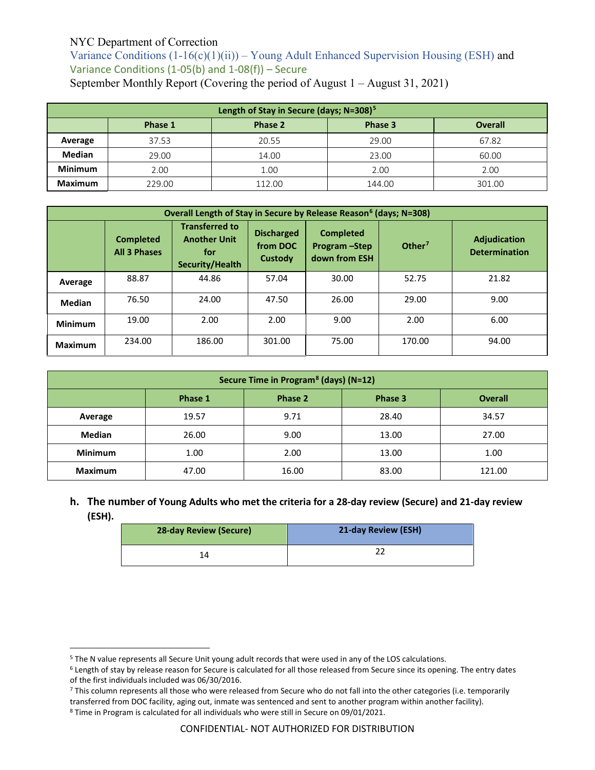Variance Conditions  $(1-16(c)(1)(ii))$  – Young Adult Enhanced Supervision Housing (ESH) and Variance Conditions (1-05(b) and 1-08(f)) – Secure September Monthly Report (Covering the period of August 1 – August 31, 2021)

| Length of Stay in Secure (days; N=308) <sup>5</sup> |                                                 |        |        |        |  |  |  |
|-----------------------------------------------------|-------------------------------------------------|--------|--------|--------|--|--|--|
|                                                     | Phase 3<br><b>Overall</b><br>Phase 1<br>Phase 2 |        |        |        |  |  |  |
| Average                                             | 37.53                                           | 20.55  | 29.00  | 67.82  |  |  |  |
| <b>Median</b>                                       | 29.00                                           | 14.00  | 23.00  | 60.00  |  |  |  |
| <b>Minimum</b>                                      | 2.00                                            | 1.00   | 2.00   | 2.00   |  |  |  |
| <b>Maximum</b>                                      | 229.00                                          | 112.00 | 144.00 | 301.00 |  |  |  |

| Overall Length of Stay in Secure by Release Reason <sup>6</sup> (days; N=308) |                                         |                                                                        |                                          |                                                   |                    |                                             |  |  |
|-------------------------------------------------------------------------------|-----------------------------------------|------------------------------------------------------------------------|------------------------------------------|---------------------------------------------------|--------------------|---------------------------------------------|--|--|
|                                                                               | <b>Completed</b><br><b>All 3 Phases</b> | <b>Transferred to</b><br><b>Another Unit</b><br>for<br>Security/Health | <b>Discharged</b><br>from DOC<br>Custody | <b>Completed</b><br>Program-Step<br>down from ESH | Other <sup>7</sup> | <b>Adjudication</b><br><b>Determination</b> |  |  |
| Average                                                                       | 88.87                                   | 44.86                                                                  | 57.04                                    | 30.00                                             | 52.75              | 21.82                                       |  |  |
| <b>Median</b>                                                                 | 76.50                                   | 24.00                                                                  | 47.50                                    | 26.00                                             | 29.00              | 9.00                                        |  |  |
| <b>Minimum</b>                                                                | 19.00                                   | 2.00                                                                   | 2.00                                     | 9.00                                              | 2.00               | 6.00                                        |  |  |
| <b>Maximum</b>                                                                | 234.00                                  | 186.00                                                                 | 301.00                                   | 75.00                                             | 170.00             | 94.00                                       |  |  |

| Secure Time in Program <sup>8</sup> (days) (N=12) |       |       |       |        |  |  |  |
|---------------------------------------------------|-------|-------|-------|--------|--|--|--|
| <b>Overall</b><br>Phase 1<br>Phase 2<br>Phase 3   |       |       |       |        |  |  |  |
| Average                                           | 19.57 | 9.71  | 28.40 | 34.57  |  |  |  |
| <b>Median</b>                                     | 26.00 | 9.00  | 13.00 | 27.00  |  |  |  |
| <b>Minimum</b>                                    | 1.00  | 2.00  | 13.00 | 1.00   |  |  |  |
| <b>Maximum</b>                                    | 47.00 | 16.00 | 83.00 | 121.00 |  |  |  |

**h. The number of Young Adults who met the criteria for a 28-day review (Secure) and 21-day review (ESH).**

| <b>28-day Review (Secure)</b> | 21-day Review (ESH) |
|-------------------------------|---------------------|
| 14                            |                     |

 $\overline{a}$ 

<span id="page-6-0"></span><sup>5</sup> The N value represents all Secure Unit young adult records that were used in any of the LOS calculations.

<span id="page-6-1"></span><sup>6</sup> Length of stay by release reason for Secure is calculated for all those released from Secure since its opening. The entry dates of the first individuals included was 06/30/2016.

<span id="page-6-2"></span><sup>7</sup> This column represents all those who were released from Secure who do not fall into the other categories (i.e. temporarily transferred from DOC facility, aging out, inmate was sentenced and sent to another program within another facility).

<span id="page-6-3"></span><sup>8</sup> Time in Program is calculated for all individuals who were still in Secure on 09/01/2021.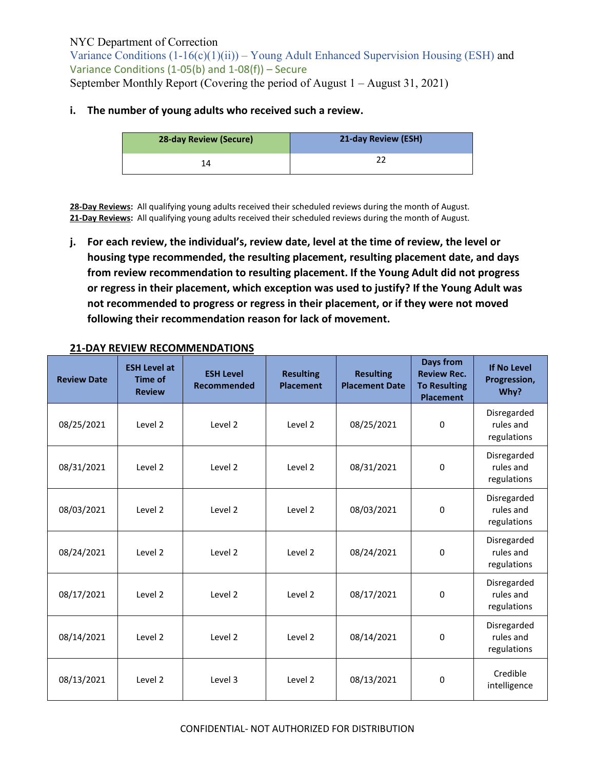Variance Conditions  $(1-16(c)(1)(ii))$  – Young Adult Enhanced Supervision Housing (ESH) and Variance Conditions (1-05(b) and 1-08(f)) – Secure September Monthly Report (Covering the period of August 1 – August 31, 2021)

#### **i. The number of young adults who received such a review.**

| <b>28-day Review (Secure)</b> | 21-day Review (ESH) |
|-------------------------------|---------------------|
|                               |                     |

**28-Day Reviews:** All qualifying young adults received their scheduled reviews during the month of August. **21-Day Reviews:** All qualifying young adults received their scheduled reviews during the month of August.

**j. For each review, the individual's, review date, level at the time of review, the level or housing type recommended, the resulting placement, resulting placement date, and days from review recommendation to resulting placement. If the Young Adult did not progress or regress in their placement, which exception was used to justify? If the Young Adult was not recommended to progress or regress in their placement, or if they were not moved following their recommendation reason for lack of movement.**

| <b>Review Date</b> | <b>ESH Level at</b><br>Time of<br><b>Review</b> | <b>ESH Level</b><br>Recommended | <b>Resulting</b><br><b>Placement</b> | <b>Resulting</b><br><b>Placement Date</b> | <b>Days from</b><br><b>Review Rec.</b><br><b>To Resulting</b><br><b>Placement</b> | <b>If No Level</b><br>Progression,<br>Why? |
|--------------------|-------------------------------------------------|---------------------------------|--------------------------------------|-------------------------------------------|-----------------------------------------------------------------------------------|--------------------------------------------|
| 08/25/2021         | Level 2                                         | Level 2                         | Level 2                              | 08/25/2021                                | 0                                                                                 | Disregarded<br>rules and<br>regulations    |
| 08/31/2021         | Level <sub>2</sub>                              | Level 2                         | Level 2                              | 08/31/2021                                | 0                                                                                 | Disregarded<br>rules and<br>regulations    |
| 08/03/2021         | Level 2                                         | Level 2                         | Level 2                              | 08/03/2021                                | 0                                                                                 | Disregarded<br>rules and<br>regulations    |
| 08/24/2021         | Level 2                                         | Level 2                         | Level 2                              | 08/24/2021                                | 0                                                                                 | Disregarded<br>rules and<br>regulations    |
| 08/17/2021         | Level 2                                         | Level 2                         | Level 2                              | 08/17/2021                                | $\Omega$                                                                          | Disregarded<br>rules and<br>regulations    |
| 08/14/2021         | Level 2                                         | Level 2                         | Level 2                              | 08/14/2021                                | 0                                                                                 | Disregarded<br>rules and<br>regulations    |
| 08/13/2021         | Level 2                                         | Level 3                         | Level 2                              | 08/13/2021                                | 0                                                                                 | Credible<br>intelligence                   |

### **21-DAY REVIEW RECOMMENDATIONS**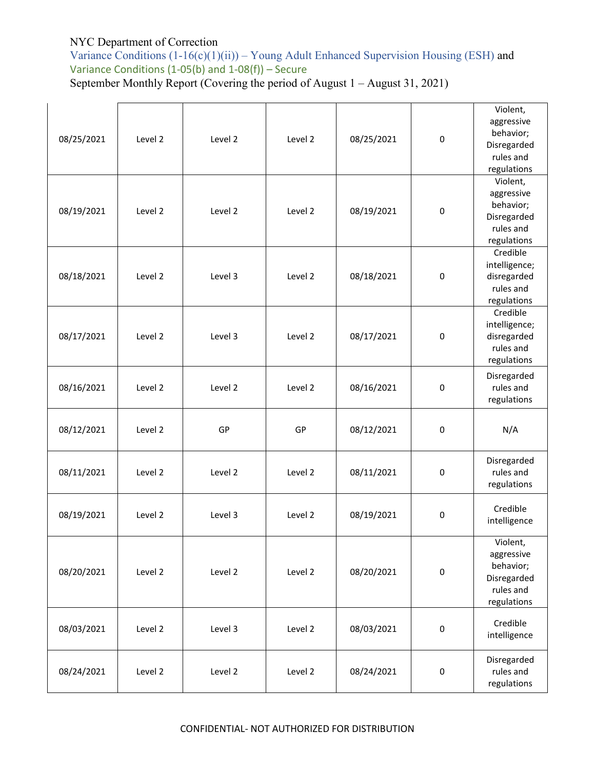Variance Conditions (1-16(c)(1)(ii)) – Young Adult Enhanced Supervision Housing (ESH) and Variance Conditions (1-05(b) and 1-08(f)) – Secure September Monthly Report (Covering the period of August 1 – August 31, 2021)

| 08/25/2021 | Level 2 | Level 2 | Level 2 | 08/25/2021 | $\mathbf 0$ | Violent,<br>aggressive<br>behavior;<br>Disregarded<br>rules and<br>regulations |
|------------|---------|---------|---------|------------|-------------|--------------------------------------------------------------------------------|
| 08/19/2021 | Level 2 | Level 2 | Level 2 | 08/19/2021 | $\mathbf 0$ | Violent,<br>aggressive<br>behavior;<br>Disregarded<br>rules and<br>regulations |
| 08/18/2021 | Level 2 | Level 3 | Level 2 | 08/18/2021 | $\pmb{0}$   | Credible<br>intelligence;<br>disregarded<br>rules and<br>regulations           |
| 08/17/2021 | Level 2 | Level 3 | Level 2 | 08/17/2021 | $\pmb{0}$   | Credible<br>intelligence;<br>disregarded<br>rules and<br>regulations           |
| 08/16/2021 | Level 2 | Level 2 | Level 2 | 08/16/2021 | $\mathsf 0$ | Disregarded<br>rules and<br>regulations                                        |
| 08/12/2021 | Level 2 | GP      | GP      | 08/12/2021 | $\pmb{0}$   | N/A                                                                            |
| 08/11/2021 | Level 2 | Level 2 | Level 2 | 08/11/2021 | $\pmb{0}$   | Disregarded<br>rules and<br>regulations                                        |
| 08/19/2021 | Level 2 | Level 3 | Level 2 | 08/19/2021 | $\pmb{0}$   | Credible<br>intelligence                                                       |
| 08/20/2021 | Level 2 | Level 2 | Level 2 | 08/20/2021 | 0           | Violent,<br>aggressive<br>behavior;<br>Disregarded<br>rules and<br>regulations |
| 08/03/2021 | Level 2 | Level 3 | Level 2 | 08/03/2021 | $\pmb{0}$   | Credible<br>intelligence                                                       |
| 08/24/2021 | Level 2 | Level 2 | Level 2 | 08/24/2021 | 0           | Disregarded<br>rules and<br>regulations                                        |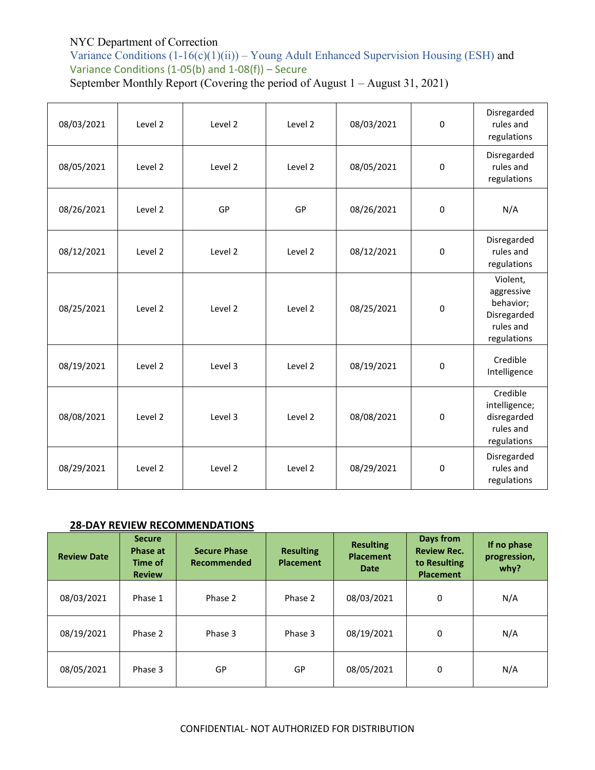Variance Conditions  $(1-16(c)(1)(ii))$  – Young Adult Enhanced Supervision Housing (ESH) and Variance Conditions (1-05(b) and 1-08(f)) – Secure September Monthly Report (Covering the period of August 1 – August 31, 2021)

| 08/03/2021 | Level 2 | Level 2 | Level 2 | 08/03/2021 | $\mathbf 0$ | Disregarded<br>rules and<br>regulations                                        |
|------------|---------|---------|---------|------------|-------------|--------------------------------------------------------------------------------|
| 08/05/2021 | Level 2 | Level 2 | Level 2 | 08/05/2021 | $\mathbf 0$ | Disregarded<br>rules and<br>regulations                                        |
| 08/26/2021 | Level 2 | GP      | GP      | 08/26/2021 | $\mathbf 0$ | N/A                                                                            |
| 08/12/2021 | Level 2 | Level 2 | Level 2 | 08/12/2021 | 0           | Disregarded<br>rules and<br>regulations                                        |
| 08/25/2021 | Level 2 | Level 2 | Level 2 | 08/25/2021 | $\mathbf 0$ | Violent,<br>aggressive<br>behavior;<br>Disregarded<br>rules and<br>regulations |
| 08/19/2021 | Level 2 | Level 3 | Level 2 | 08/19/2021 | $\mathbf 0$ | Credible<br>Intelligence                                                       |
| 08/08/2021 | Level 2 | Level 3 | Level 2 | 08/08/2021 | $\Omega$    | Credible<br>intelligence;<br>disregarded<br>rules and<br>regulations           |
| 08/29/2021 | Level 2 | Level 2 | Level 2 | 08/29/2021 | $\Omega$    | Disregarded<br>rules and<br>regulations                                        |

# **28-DAY REVIEW RECOMMENDATIONS**

| <b>Review Date</b> | <b>Secure</b><br>Phase at<br>Time of<br><b>Review</b> | <b>Secure Phase</b><br>Recommended | <b>Resulting</b><br><b>Placement</b> | <b>Resulting</b><br><b>Placement</b><br><b>Date</b> | Days from<br><b>Review Rec.</b><br>to Resulting<br><b>Placement</b> | If no phase<br>progression,<br>why? |
|--------------------|-------------------------------------------------------|------------------------------------|--------------------------------------|-----------------------------------------------------|---------------------------------------------------------------------|-------------------------------------|
| 08/03/2021         | Phase 1                                               | Phase 2                            | Phase 2                              | 08/03/2021                                          | 0                                                                   | N/A                                 |
| 08/19/2021         | Phase 2                                               | Phase 3                            | Phase 3                              | 08/19/2021                                          | 0                                                                   | N/A                                 |
| 08/05/2021         | Phase 3                                               | GP                                 | GP                                   | 08/05/2021                                          | 0                                                                   | N/A                                 |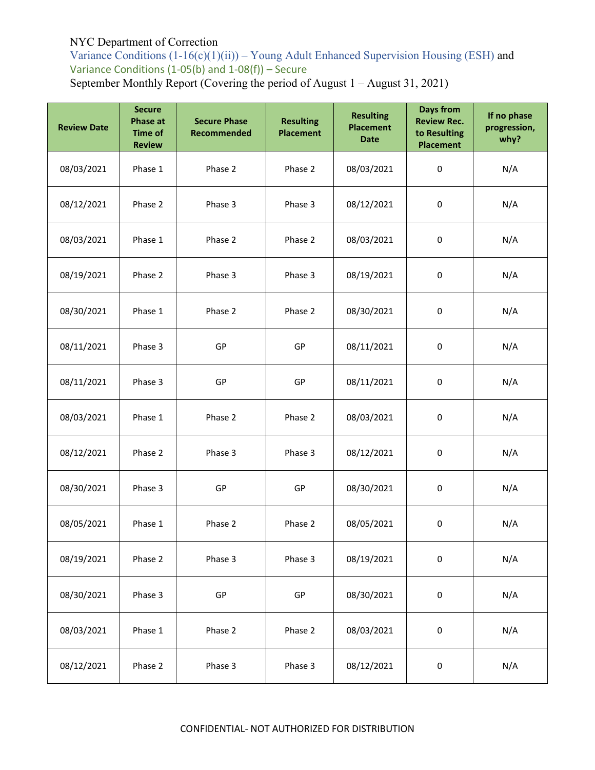Variance Conditions  $(1-16(c)(1)(ii))$  – Young Adult Enhanced Supervision Housing (ESH) and Variance Conditions (1-05(b) and 1-08(f)) – Secure September Monthly Report (Covering the period of August 1 – August 31, 2021)

**Review Date Secure Phase at Time of Review Secure Phase Recommended Resulting Placement Resulting Placement Date Days from Review Rec. to Resulting Placement If no phase progression, why?** 08/03/2021 Phase 1 Phase 2 Phase 2 08/03/2021 0 N/A 08/12/2021 Phase 2 Phase 3 Phase 3 08/12/2021 0 N/A 08/03/2021 Phase 1 Phase 2 Phase 2 08/03/2021 0 N/A 08/19/2021 Phase 2 Phase 3 Phase 3 08/19/2021 0 N/A 08/30/2021 Phase 1 Phase 2 Phase 2 08/30/2021 0 N/A 08/11/2021 Phase 3 GP GP 08/11/2021 0 N/A 08/11/2021 | Phase 3 | GP | 08/11/2021 | 0 | N/A 08/03/2021 | Phase 1 | Phase 2 | Phase 2 | 08/03/2021 | 0 | N/A 08/12/2021 Phase 2 Phase 3 Phase 3 08/12/2021 0 N/A 08/30/2021 Phase 3 GP GP 08/30/2021 0 N/A 08/05/2021 | Phase 1 | Phase 2 | Phase 2 | 08/05/2021 | 0 | N/A 08/19/2021 Phase 2 Phase 3 Phase 3 08/19/2021 0 N/A 08/30/2021 Phase 3 GP GP 08/30/2021 0 N/A 08/03/2021 | Phase 1 | Phase 2 | Phase 2 | 08/03/2021 | 0 | N/A 08/12/2021 Phase 2 Phase 3 Phase 3 08/12/2021 0 N/A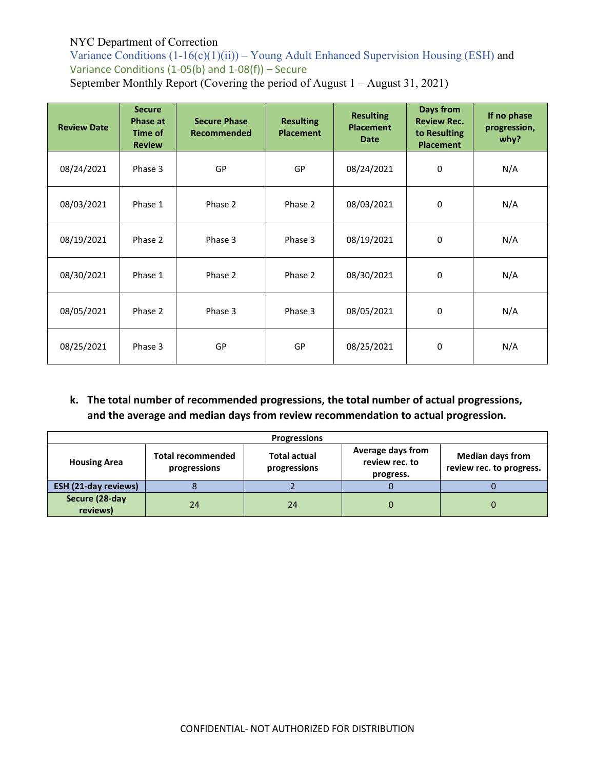Variance Conditions  $(1-16(c)(1)(ii))$  – Young Adult Enhanced Supervision Housing (ESH) and Variance Conditions (1-05(b) and 1-08(f)) – Secure September Monthly Report (Covering the period of August 1 – August 31, 2021)

| <b>Review Date</b> | <b>Secure</b><br><b>Phase at</b><br>Time of<br><b>Review</b> | <b>Secure Phase</b><br><b>Recommended</b> | <b>Resulting</b><br><b>Placement</b> | <b>Resulting</b><br><b>Placement</b><br>Date | Days from<br><b>Review Rec.</b><br>to Resulting<br><b>Placement</b> | If no phase<br>progression,<br>why? |
|--------------------|--------------------------------------------------------------|-------------------------------------------|--------------------------------------|----------------------------------------------|---------------------------------------------------------------------|-------------------------------------|
| 08/24/2021         | Phase 3                                                      | GP                                        | <b>GP</b>                            | 08/24/2021                                   | 0                                                                   | N/A                                 |
| 08/03/2021         | Phase 1                                                      | Phase 2                                   | Phase 2                              | 08/03/2021                                   | 0                                                                   | N/A                                 |
| 08/19/2021         | Phase 2                                                      | Phase 3                                   | Phase 3                              | 08/19/2021                                   | 0                                                                   | N/A                                 |
| 08/30/2021         | Phase 1                                                      | Phase 2                                   | Phase 2                              | 08/30/2021                                   | 0                                                                   | N/A                                 |
| 08/05/2021         | Phase 2                                                      | Phase 3                                   | Phase 3                              | 08/05/2021                                   | 0                                                                   | N/A                                 |
| 08/25/2021         | Phase 3                                                      | GP                                        | GP                                   | 08/25/2021                                   | 0                                                                   | N/A                                 |

# **k. The total number of recommended progressions, the total number of actual progressions, and the average and median days from review recommendation to actual progression.**

| <b>Progressions</b>         |                                          |                                     |                                                  |                                                     |  |  |
|-----------------------------|------------------------------------------|-------------------------------------|--------------------------------------------------|-----------------------------------------------------|--|--|
| <b>Housing Area</b>         | <b>Total recommended</b><br>progressions | <b>Total actual</b><br>progressions | Average days from<br>review rec. to<br>progress. | <b>Median days from</b><br>review rec. to progress. |  |  |
| <b>ESH (21-day reviews)</b> |                                          |                                     |                                                  |                                                     |  |  |
| Secure (28-day<br>reviews)  | 24                                       | 24                                  |                                                  | O                                                   |  |  |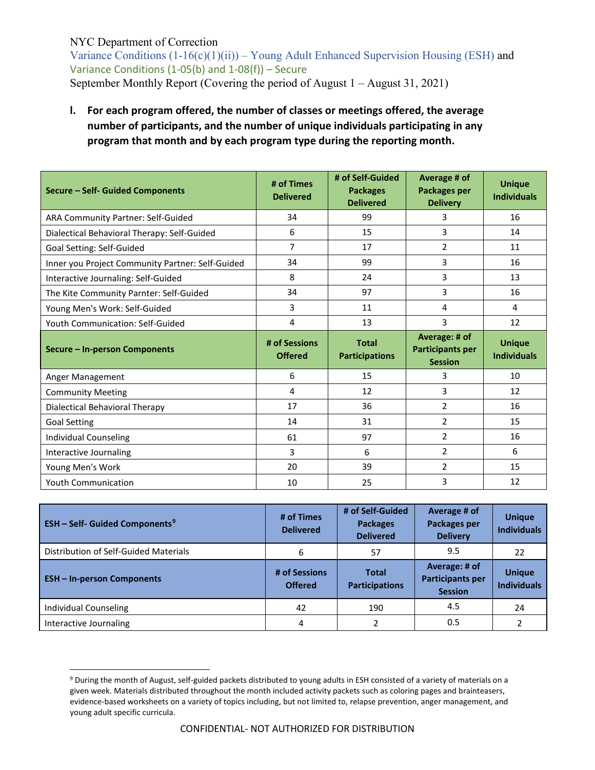$\overline{a}$ 

Variance Conditions  $(1-16(c)(1)(ii))$  – Young Adult Enhanced Supervision Housing (ESH) and Variance Conditions (1-05(b) and 1-08(f)) – Secure September Monthly Report (Covering the period of August 1 – August 31, 2021)

**l. For each program offered, the number of classes or meetings offered, the average number of participants, and the number of unique individuals participating in any program that month and by each program type during the reporting month.**

| Secure - Self- Guided Components                 | # of Times<br><b>Delivered</b>  | # of Self-Guided<br><b>Packages</b><br><b>Delivered</b> | Average # of<br>Packages per<br><b>Delivery</b>            | <b>Unique</b><br><b>Individuals</b> |
|--------------------------------------------------|---------------------------------|---------------------------------------------------------|------------------------------------------------------------|-------------------------------------|
| ARA Community Partner: Self-Guided               | 34                              | 99                                                      | 3                                                          | 16                                  |
| Dialectical Behavioral Therapy: Self-Guided      | 6                               | 15                                                      | 3                                                          | 14                                  |
| Goal Setting: Self-Guided                        | 7                               | 17                                                      | $\mathfrak{p}$                                             | 11                                  |
| Inner you Project Community Partner: Self-Guided | 34                              | 99                                                      | 3                                                          | 16                                  |
| Interactive Journaling: Self-Guided              | 8                               | 24                                                      | 3                                                          | 13                                  |
| The Kite Community Parnter: Self-Guided          | 34                              | 97                                                      | 3                                                          | 16                                  |
| Young Men's Work: Self-Guided                    | 3                               | 11                                                      | 4                                                          | 4                                   |
| Youth Communication: Self-Guided                 | 4                               | 13                                                      | 3                                                          | 12                                  |
|                                                  |                                 |                                                         |                                                            |                                     |
| Secure - In-person Components                    | # of Sessions<br><b>Offered</b> | <b>Total</b><br><b>Participations</b>                   | Average: # of<br><b>Participants per</b><br><b>Session</b> | <b>Unique</b><br><b>Individuals</b> |
| Anger Management                                 | 6                               | 15                                                      | 3                                                          | 10                                  |
| <b>Community Meeting</b>                         | 4                               | 12                                                      | 3                                                          | 12                                  |
| Dialectical Behavioral Therapy                   | 17                              | 36                                                      | $\overline{2}$                                             | 16                                  |
| <b>Goal Setting</b>                              | 14                              | 31                                                      | $\overline{2}$                                             | 15                                  |
| <b>Individual Counseling</b>                     | 61                              | 97                                                      | $\overline{2}$                                             | 16                                  |
| Interactive Journaling                           | 3                               | 6                                                       | $\overline{2}$                                             | 6                                   |
| Young Men's Work                                 | 20                              | 39                                                      | $\overline{2}$                                             | 15                                  |

| <b>ESH - Self- Guided Components<sup>9</sup></b> | # of Times<br><b>Delivered</b>  | # of Self-Guided<br><b>Packages</b><br><b>Delivered</b> | Average # of<br>Packages per<br><b>Delivery</b>            | <b>Unique</b><br><b>Individuals</b> |
|--------------------------------------------------|---------------------------------|---------------------------------------------------------|------------------------------------------------------------|-------------------------------------|
| Distribution of Self-Guided Materials            | 6                               | 57                                                      | 9.5                                                        | 22                                  |
| <b>ESH-In-person Components</b>                  | # of Sessions<br><b>Offered</b> | <b>Total</b><br><b>Participations</b>                   | Average: # of<br><b>Participants per</b><br><b>Session</b> | <b>Unique</b><br><b>Individuals</b> |
| Individual Counseling                            | 42                              | 190                                                     | 4.5                                                        | 24                                  |
| Interactive Journaling                           | 4                               |                                                         | 0.5                                                        |                                     |

<span id="page-12-0"></span><sup>9</sup> During the month of August, self-guided packets distributed to young adults in ESH consisted of a variety of materials on a given week. Materials distributed throughout the month included activity packets such as coloring pages and brainteasers, evidence-based worksheets on a variety of topics including, but not limited to, relapse prevention, anger management, and young adult specific curricula.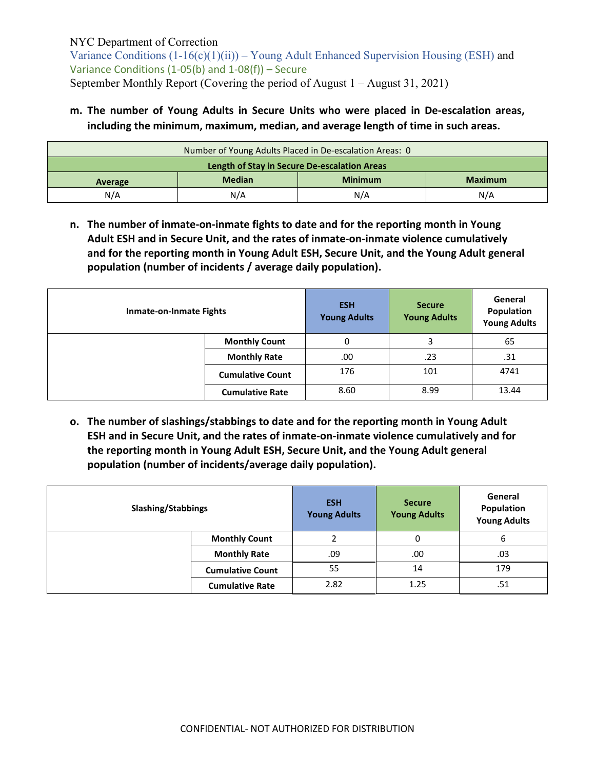Variance Conditions  $(1-16(c)(1)(ii))$  – Young Adult Enhanced Supervision Housing (ESH) and Variance Conditions (1-05(b) and 1-08(f)) – Secure September Monthly Report (Covering the period of August 1 – August 31, 2021)

**m. The number of Young Adults in Secure Units who were placed in De-escalation areas, including the minimum, maximum, median, and average length of time in such areas.**

| Number of Young Adults Placed in De-escalation Areas: 0      |                                              |  |  |  |  |
|--------------------------------------------------------------|----------------------------------------------|--|--|--|--|
|                                                              | Length of Stay in Secure De-escalation Areas |  |  |  |  |
| <b>Median</b><br><b>Minimum</b><br><b>Maximum</b><br>Average |                                              |  |  |  |  |
| N/A<br>N/A<br>N/A<br>N/A                                     |                                              |  |  |  |  |

**n. The number of inmate-on-inmate fights to date and for the reporting month in Young Adult ESH and in Secure Unit, and the rates of inmate-on-inmate violence cumulatively and for the reporting month in Young Adult ESH, Secure Unit, and the Young Adult general population (number of incidents / average daily population).**

| <b>Inmate-on-Inmate Fights</b> |                         | <b>ESH</b><br><b>Young Adults</b> | <b>Secure</b><br><b>Young Adults</b> | General<br>Population<br><b>Young Adults</b> |
|--------------------------------|-------------------------|-----------------------------------|--------------------------------------|----------------------------------------------|
|                                | <b>Monthly Count</b>    | 0                                 |                                      | 65                                           |
|                                | <b>Monthly Rate</b>     | .00                               | .23                                  | .31                                          |
|                                | <b>Cumulative Count</b> | 176                               | 101                                  | 4741                                         |
|                                | <b>Cumulative Rate</b>  | 8.60                              | 8.99                                 | 13.44                                        |

**o. The number of slashings/stabbings to date and for the reporting month in Young Adult ESH and in Secure Unit, and the rates of inmate-on-inmate violence cumulatively and for the reporting month in Young Adult ESH, Secure Unit, and the Young Adult general population (number of incidents/average daily population).**

| <b>Slashing/Stabbings</b> |                         | <b>ESH</b><br><b>Young Adults</b> | <b>Secure</b><br><b>Young Adults</b> | General<br>Population<br><b>Young Adults</b> |
|---------------------------|-------------------------|-----------------------------------|--------------------------------------|----------------------------------------------|
|                           | <b>Monthly Count</b>    |                                   |                                      | 6                                            |
|                           | <b>Monthly Rate</b>     | .09                               | .00                                  | .03                                          |
|                           | <b>Cumulative Count</b> | 55                                | 14                                   | 179                                          |
|                           | <b>Cumulative Rate</b>  | 2.82                              | 1.25                                 | .51                                          |